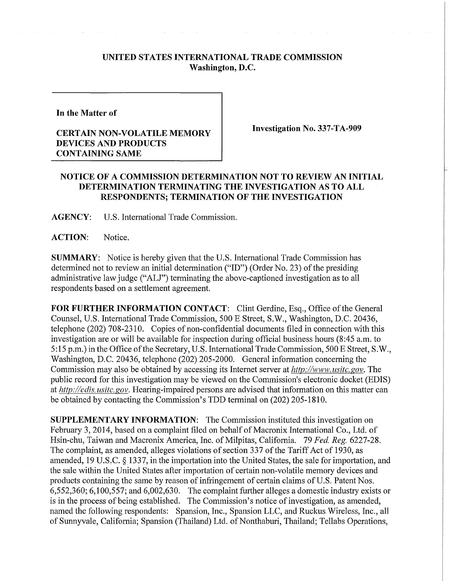## **UNITED STATES INTERNATIONAL TRADE COMMISSION Washington, D.C.**

**In the Matter of** 

## **CERTAIN NON-VOLATILE MEMORY DEVICES AND PRODUCTS CONTAINING SAME**

**Investigation** No. **337-TA-909** 

## **NOTICE OF A COMMISSION DETERMINATION NOT TO REVIEW AN INITIAL DETERMINATION TERMINATING THE INVESTIGATION AS TO ALL RESPONDENTS; TERMINATION OF THE INVESTIGATION**

**AGENCY:** U.S. International Trade Commission.

**ACTION:** Notice.

**SUMMARY:** Notice is hereby given that the U.S. International Trade Commission has determined not to review an initial determination ("ID") (Order No. 23) of the presiding administrative law judge ("ALJ") terminating the above-captioned investigation as to all respondents based on a settlement agreement.

**FOR FURTHER INFORMATION CONTACT:** Clint Gerdine, Esq., Office of the General Counsel, U.S. International Trade Commission, 500 E Street, S.W., Washington, D.C. 20436, telephone (202) 708-2310. Copies of non-confidential documents filed in connection with this investigation are or will be available for inspection during official business hours (8:45 a.m. to 5:15 p.m.) in the Office of the Secretary, U.S. International Trade Commission, 500 E Street, S.W., Washington, D.C. 20436, telephone (202) 205-2000. General information concerning the Commission may also be obtained by accessing its Internet server at *http://www.usitc.gov*. The public record for this investigation may be viewed on the Commission's electronic docket (EDIS) at http://edis.usitc.gov. Hearing-impaired persons are advised that information on this matter can be obtained by contacting the Commission's TDD terminal on (202) 205-1810.

**SUPPLEMENTARY INFORMATION:** The Commission instituted this investigation on February 3, 2014, based on a complaint filed on behalf of Macronix International Co., Ltd. of Hsin-chu, Taiwan and Macronix America, Inc. of Milpitas, California. 79 *Fed. Reg.* 6227-28. The complaint, as amended, alleges violations of section 337 of the Tariff Act of 1930, as amended, 19 U.S.C. § 1337, in the importation into the United States, the sale for importation, and the sale within the United States after importation of certain non-volatile memory devices and products containing the same by reason of infringement of certain claims of U.S. Patent Nos.  $6,552,360; 6,100,557;$  and  $6,002,630$ . The complaint further alleges a domestic industry exists or is in the process of being established. The Commission's notice of investigation, as amended, named the following respondents: Spansion, Inc., Spansion LLC, and Ruckus Wireless, Inc., all of Sunnyvale, California; Spansion (Thailand) Ltd. of Nonthaburi, Thailand; Tellabs Operations,